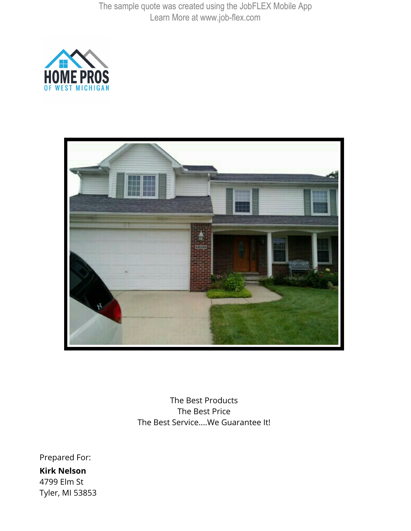



The Best Products The Best Price The Best Service....We Guarantee It!

Prepared For: **Kirk Nelson** 4799 Elm St Tyler, MI 53853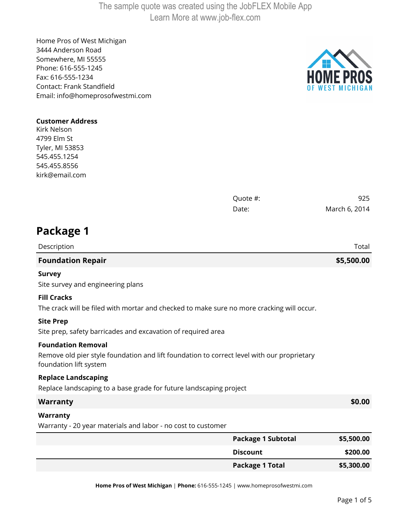Home Pros of West Michigan 3444 Anderson Road Somewhere, MI 55555 Phone: 616-555-1245 Fax: 616-555-1234 Contact: Frank Standfield Email: info@homeprosofwestmi.com



## **Customer Address**

Kirk Nelson 4799 Elm St Tyler, MI 53853 545.455.1254 545.455.8556 kirk@email.com

|                                                                                                                                                   | Quote #:                  | 925           |
|---------------------------------------------------------------------------------------------------------------------------------------------------|---------------------------|---------------|
|                                                                                                                                                   | Date:                     | March 6, 2014 |
| Package 1                                                                                                                                         |                           |               |
| Description                                                                                                                                       |                           | Total         |
| <b>Foundation Repair</b>                                                                                                                          |                           | \$5,500.00    |
| <b>Survey</b><br>Site survey and engineering plans                                                                                                |                           |               |
| <b>Fill Cracks</b><br>The crack will be filed with mortar and checked to make sure no more cracking will occur.                                   |                           |               |
| <b>Site Prep</b><br>Site prep, safety barricades and excavation of required area                                                                  |                           |               |
| <b>Foundation Removal</b><br>Remove old pier style foundation and lift foundation to correct level with our proprietary<br>foundation lift system |                           |               |
| <b>Replace Landscaping</b><br>Replace landscaping to a base grade for future landscaping project                                                  |                           |               |
| <b>Warranty</b>                                                                                                                                   |                           | \$0.00        |
| Warranty<br>Warranty - 20 year materials and labor - no cost to customer                                                                          |                           |               |
|                                                                                                                                                   | <b>Package 1 Subtotal</b> | \$5,500.00    |
|                                                                                                                                                   | <b>Discount</b>           | \$200.00      |
|                                                                                                                                                   | <b>Package 1 Total</b>    | \$5,300.00    |

**Home Pros of West Michigan** | **Phone:** 616-555-1245 | www.homeprosofwestmi.com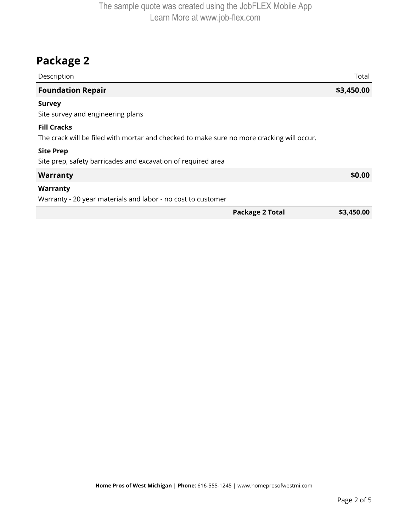## **Package 2**

| Description                                                                                                     | Total                                |
|-----------------------------------------------------------------------------------------------------------------|--------------------------------------|
| <b>Foundation Repair</b>                                                                                        | \$3,450.00                           |
| <b>Survey</b><br>Site survey and engineering plans                                                              |                                      |
| <b>Fill Cracks</b><br>The crack will be filed with mortar and checked to make sure no more cracking will occur. |                                      |
| <b>Site Prep</b><br>Site prep, safety barricades and excavation of required area                                |                                      |
| <b>Warranty</b>                                                                                                 | \$0.00                               |
| Warranty                                                                                                        |                                      |
| Warranty - 20 year materials and labor - no cost to customer                                                    |                                      |
|                                                                                                                 | <b>Package 2 Total</b><br>\$3,450.00 |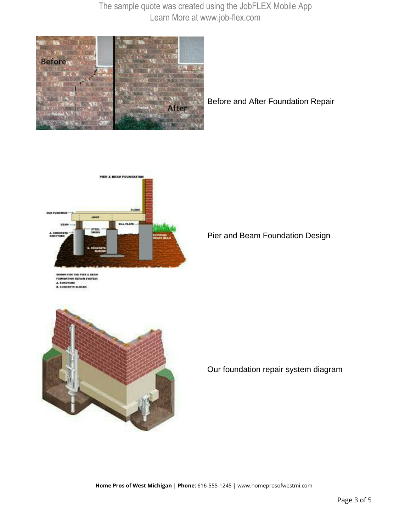

Before and After Foundation Repair



**ATION REPAIR SYSTEM S. CONCRETE BLOCKS** 

Pier and Beam Foundation Design



Our foundation repair system diagram

**Home Pros of West Michigan** | **Phone:** 616-555-1245 | www.homeprosofwestmi.com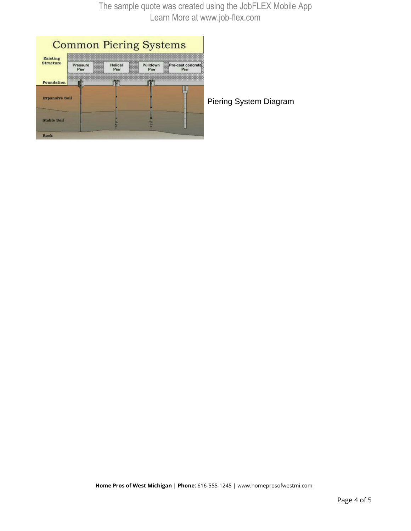| <b>Existing</b><br><b>Structure</b> | and one sees last load day long and day can be<br>an executive approach descripts belowed stationed | painted modern and not be before before the line of the country were analyze modern matter. Services<br><b>SAFETEEN SHATURES ENTITLES ENTERED CONTINUES INSTITUTE</b><br>high that that that care that care that care that the control that their that that that and man was the that that that that that care man that that that that care that they can be at the control that they then<br>product between business business products and con-<br><b>HOLKAG CALIBRA KASTOST AND ERIC SALEME FOR THE</b><br>case because someone previous beaches starting<br><b>GRACING PRODUCER</b> |                                                                                                                                                  |                                                                        |  |  |
|-------------------------------------|-----------------------------------------------------------------------------------------------------|-----------------------------------------------------------------------------------------------------------------------------------------------------------------------------------------------------------------------------------------------------------------------------------------------------------------------------------------------------------------------------------------------------------------------------------------------------------------------------------------------------------------------------------------------------------------------------------------|--------------------------------------------------------------------------------------------------------------------------------------------------|------------------------------------------------------------------------|--|--|
|                                     | A 1400 Visit Jan<br>Pressure<br>Pier                                                                | Helical<br>Pier                                                                                                                                                                                                                                                                                                                                                                                                                                                                                                                                                                         | <b>ANTIMOVA</b><br><b>WAS SHE WAS A</b><br>Pulldown<br><b>ASSESSED</b><br><b>WHY SWELL BAY</b><br><b>CARD MARK</b><br>Pier<br><b>AND ARE ARE</b> | Pre-cast concrete<br>Pier<br><b>COMPO</b>                              |  |  |
| Foundation                          |                                                                                                     |                                                                                                                                                                                                                                                                                                                                                                                                                                                                                                                                                                                         |                                                                                                                                                  | and two course of the course of the state and the course of the course |  |  |
| <b>Expansive Soil</b>               |                                                                                                     |                                                                                                                                                                                                                                                                                                                                                                                                                                                                                                                                                                                         |                                                                                                                                                  |                                                                        |  |  |
| <b>Stable Soil</b>                  |                                                                                                     |                                                                                                                                                                                                                                                                                                                                                                                                                                                                                                                                                                                         |                                                                                                                                                  |                                                                        |  |  |

iering System Diagram